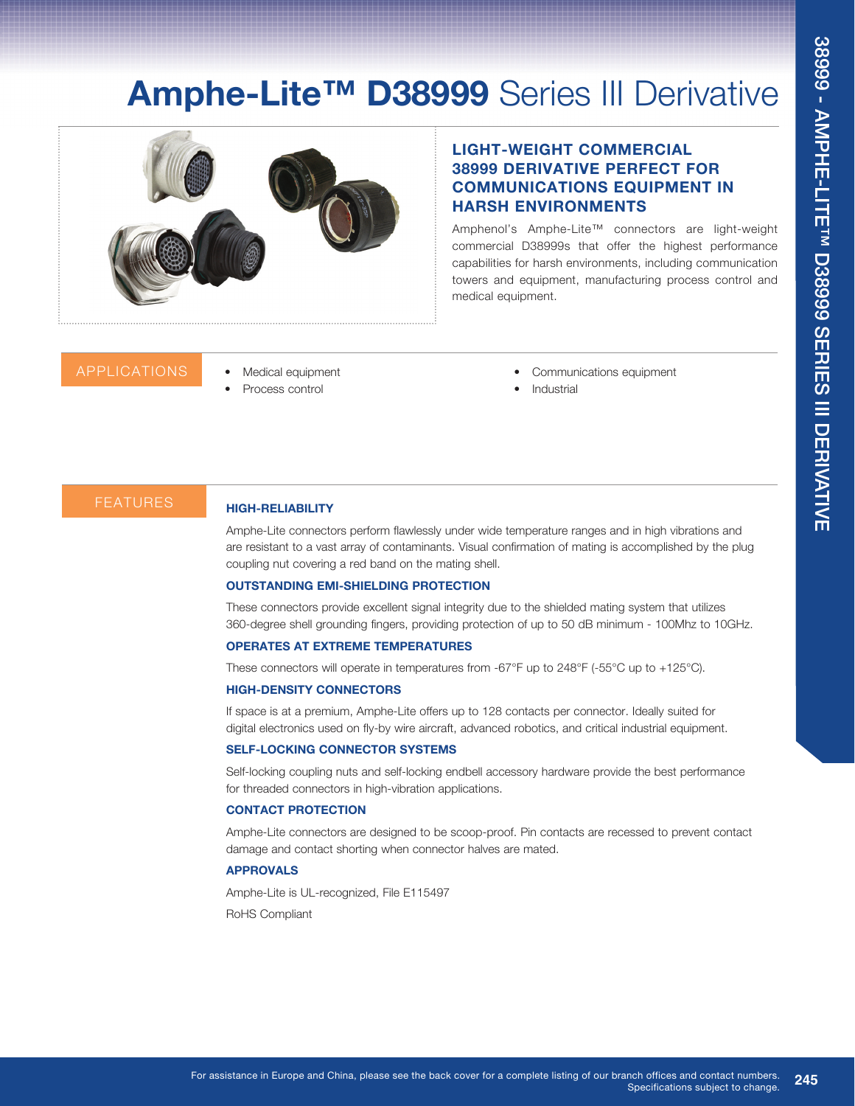# **Amphe-Lite™ D38999** Series III Derivative



# **LIGHT-WEIGHT COMMERCIAL 38999 DERIVATIVE PERFECT FOR COMMUNICATIONS EQUIPMENT IN HARSH ENVIRONMENTS**

Amphenol's Amphe-Lite™ connectors are light-weight commercial D38999s that offer the highest performance capabilities for harsh environments, including communication towers and equipment, manufacturing process control and medical equipment.

## APPLICATIONS

- Medical equipment
- Process control
- Communications equipment
- **Industrial**

## FEATURES

#### **HIGH-RELIABILITY**

Amphe-Lite connectors perform flawlessly under wide temperature ranges and in high vibrations and are resistant to a vast array of contaminants. Visual confirmation of mating is accomplished by the plug coupling nut covering a red band on the mating shell.

#### **OUTSTANDING EMI-SHIELDING PROTECTION**

These connectors provide excellent signal integrity due to the shielded mating system that utilizes 360-degree shell grounding fingers, providing protection of up to 50 dB minimum - 100Mhz to 10GHz.

#### **OPERATES AT EXTREME TEMPERATURES**

These connectors will operate in temperatures from -67°F up to 248°F (-55°C up to +125°C).

#### **HIGH-DENSITY CONNECTORS**

If space is at a premium, Amphe-Lite offers up to 128 contacts per connector. Ideally suited for digital electronics used on fly-by wire aircraft, advanced robotics, and critical industrial equipment.

#### **SELF-LOCKING CONNECTOR SYSTEMS**

Self-locking coupling nuts and self-locking endbell accessory hardware provide the best performance for threaded connectors in high-vibration applications.

#### **CONTACT PROTECTION**

Amphe-Lite connectors are designed to be scoop-proof. Pin contacts are recessed to prevent contact damage and contact shorting when connector halves are mated.

#### **APPROVALS**

Amphe-Lite is UL-recognized, File E115497

RoHS Compliant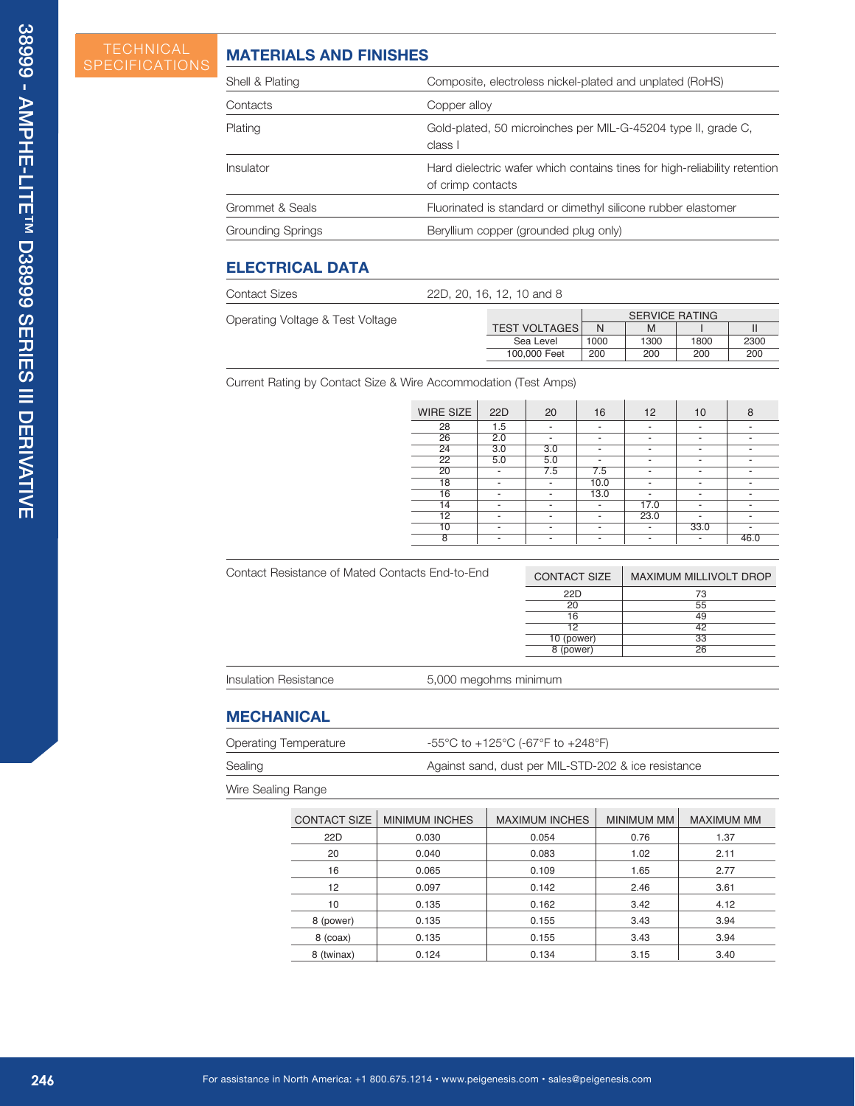SPECIFICATIONS

# **MATERIALS AND FINISHES**

| Shell & Plating   | Composite, electroless nickel-plated and unplated (RoHS)                                       |
|-------------------|------------------------------------------------------------------------------------------------|
| Contacts          | Copper alloy                                                                                   |
| Plating           | Gold-plated, 50 microinches per MIL-G-45204 type II, grade C,<br>class I                       |
| Insulator         | Hard dielectric wafer which contains tines for high-reliability retention<br>of crimp contacts |
| Grommet & Seals   | Fluorinated is standard or dimethyl silicone rubber elastomer                                  |
| Grounding Springs | Beryllium copper (grounded plug only)                                                          |
|                   |                                                                                                |

# **ELECTRICAL DATA**

| <b>Contact Sizes</b>             | 22D, 20, 16, 12, 10 and 8 |                      |      |                       |      |      |
|----------------------------------|---------------------------|----------------------|------|-----------------------|------|------|
| Operating Voltage & Test Voltage |                           |                      |      | <b>SERVICE RATING</b> |      |      |
|                                  |                           | <b>TEST VOLTAGES</b> | N    | M                     |      |      |
|                                  |                           | Sea Level            | 1000 | 1300                  | 1800 | 2300 |
|                                  |                           | 100,000 Feet         | 200  | 200                   | 200  | 200  |
|                                  |                           |                      |      |                       |      |      |

Current Rating by Contact Size & Wire Accommodation (Test Amps)

| <b>WIRE SIZE</b> | 22D | 20                       | 16   | 12                       | 10   | 8    |
|------------------|-----|--------------------------|------|--------------------------|------|------|
| 28               | 1.5 | $\overline{\phantom{a}}$ | ۰    | ٠                        | ٠    | ۰    |
| 26               | 2.0 |                          |      |                          |      |      |
| 24               | 3.0 | 3.0                      | ۰    | -                        | ٠    | ٠    |
| $\overline{22}$  | 5.0 | 5.0                      | ۰    | $\overline{\phantom{a}}$ | ٠    | ٠    |
| 20               | ٠   | 7.5                      | 7.5  | $\overline{\phantom{a}}$ | ٠    | ۰    |
| 18               |     |                          | 10.0 |                          |      |      |
| 16               | -   | ۰                        | 13.0 | ۰                        | ٠    | ٠    |
| 14               | -   |                          | ۰    | 17.0                     | ٠    | ۰    |
| 12               | -   | ۰                        | ۰    | 23.0                     |      | ۰    |
| 10               | -   | ۰                        | ۰    |                          | 33.0 |      |
| 8                |     |                          | ۰    |                          |      | 46.0 |
|                  |     |                          |      |                          |      |      |

| Contact Resistance of Mated Contacts End-to-End | <b>CONTACT SIZE</b> | MAXIMUM MILLIVOLT DROP |
|-------------------------------------------------|---------------------|------------------------|
|                                                 | 22D                 | 73                     |
|                                                 | 20                  | 55                     |
|                                                 | 16                  | 49                     |
|                                                 |                     | 42                     |
|                                                 | 10 (power)          | 33                     |
|                                                 | 8 (power)           | 26                     |
|                                                 |                     |                        |

Insulation Resistance 5,000 megohms minimum

## **MECHANICAL**

| <b>Operating Temperature</b> | -55°C to +125°C (-67°F to +248°F)                   |
|------------------------------|-----------------------------------------------------|
| Sealing                      | Against sand, dust per MIL-STD-202 & ice resistance |

Wire Sealing Range

| <b>CONTACT SIZE</b> | <b>MINIMUM INCHES</b> | <b>MAXIMUM INCHES</b> | MINIMUM MM | MAXIMUM MM |
|---------------------|-----------------------|-----------------------|------------|------------|
| 22D                 | 0.030                 | 0.054                 | 0.76       | 1.37       |
| 20                  | 0.040                 | 0.083                 | 1.02       | 2.11       |
| 16                  | 0.065                 | 0.109                 | 1.65       | 2.77       |
| 12                  | 0.097                 | 0.142                 | 2.46       | 3.61       |
| 10                  | 0.135                 | 0.162                 | 3.42       | 4.12       |
| 8 (power)           | 0.135                 | 0.155                 | 3.43       | 3.94       |
| $8$ (coax)          | 0.135                 | 0.155                 | 3.43       | 3.94       |
| 8 (twinax)          | 0.124                 | 0.134                 | 3.15       | 3.40       |